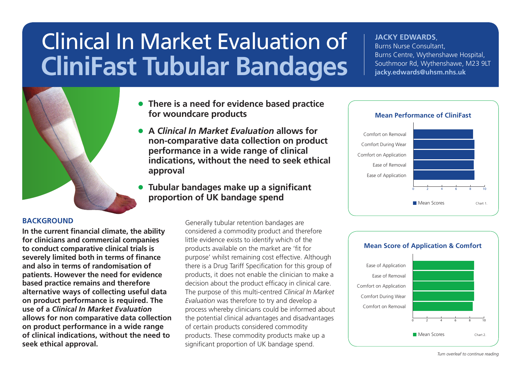# Clinical In Market Evaluation of **CliniFast Tubular Bandages**

#### **JACKY EDWARDS**,

Burns Nurse Consultant, Burns Centre, Wythenshawe Hospital, Southmoor Rd, Wythenshawe, M23 9LT **jacky.edwards@uhsm.nhs.uk**

- • **There is a need for evidence based practice for woundcare products**
- • **A** *Clinical In Market Evaluation* **allows for non-comparative data collection on product performance in a wide range of clinical indications, without the need to seek ethical approval**
- • **Tubular bandages make up a significant proportion of UK bandage spend**

#### **BACKGROUND**

**In the current financial climate, the ability for clinicians and commercial companies to conduct comparative clinical trials is severely limited both in terms of finance and also in terms of randomisation of patients. However the need for evidence based practice remains and therefore alternative ways of collecting useful data on product performance is required. The use of a** *Clinical In Market Evaluation* **allows for non comparative data collection on product performance in a wide range of clinical indications, without the need to seek ethical approval.**

Generally tubular retention bandages are considered a commodity product and therefore little evidence exists to identify which of the products available on the market are 'fit for purpose' whilst remaining cost effective. Although there is a Drug Tariff Specification for this group of products, it does not enable the clinician to make a decision about the product efficacy in clinical care. The purpose of this multi-centred *Clinical In Market Evaluation* was therefore to try and develop a process whereby clinicians could be informed about the potential clinical advantages and disadvantages of certain products considered commodity products. These commodity products make up a significant proportion of UK bandage spend.